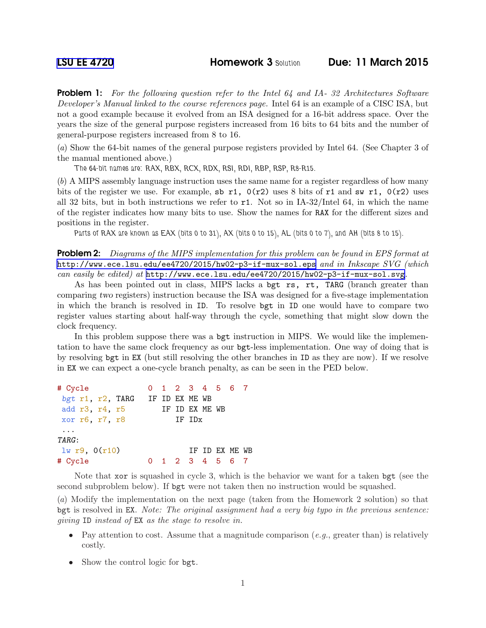Problem 1: *For the following question refer to the Intel 64 and IA- 32 Architectures Software Developer's Manual linked to the course references page.* Intel 64 is an example of a CISC ISA, but not a good example because it evolved from an ISA designed for a 16-bit address space. Over the years the size of the general purpose registers increased from 16 bits to 64 bits and the number of general-purpose registers increased from 8 to 16.

(*a*) Show the 64-bit names of the general purpose registers provided by Intel 64. (See Chapter 3 of the manual mentioned above.)

*The 64-bit names are: RAX, RBX, RCX, RDX, RSI, RDI, RBP, RSP, R8-R15.*

(*b*) A MIPS assembly language instruction uses the same name for a register regardless of how many bits of the register we use. For example, sb r1,  $0(r2)$  uses 8 bits of r1 and sw r1,  $0(r2)$  uses all 32 bits, but in both instructions we refer to  $r1$ . Not so in IA-32/Intel 64, in which the name of the register indicates how many bits to use. Show the names for RAX for the different sizes and positions in the register.

*Parts of RAX are known as EAX (bits 0 to 31), AX (bits 0 to 15), AL (bits 0 to 7), and AH (bits 8 to 15).*

Problem 2: *Diagrams of the MIPS implementation for this problem can be found in EPS format at* <http://www.ece.lsu.edu/ee4720/2015/hw02-p3-if-mux-sol.eps> *and in Inkscape SVG (which can easily be edited) at* <http://www.ece.lsu.edu/ee4720/2015/hw02-p3-if-mux-sol.svg>*.*

As has been pointed out in class, MIPS lacks a bgt rs, rt, TARG (branch greater than comparing two registers) instruction because the ISA was designed for a five-stage implementation in which the branch is resolved in ID. To resolve bgt in ID one would have to compare two register values starting about half-way through the cycle, something that might slow down the clock frequency.

In this problem suppose there was a bgt instruction in MIPS. We would like the implementation to have the same clock frequency as our bgt-less implementation. One way of doing that is by resolving bgt in EX (but still resolving the other branches in ID as they are now). If we resolve in EX we can expect a one-cycle branch penalty, as can be seen in the PED below.

| # Cycle                         |  | 0 1 2 3 4 5 6 7 |  |                 |  |  |  |
|---------------------------------|--|-----------------|--|-----------------|--|--|--|
| bgt r1, r2, TARG IF ID EX ME WB |  |                 |  |                 |  |  |  |
| add r3, r4, r5                  |  | IF ID EX ME WB  |  |                 |  |  |  |
| xor r6, r7, r8                  |  | IF IDx          |  |                 |  |  |  |
| $\cdots$                        |  |                 |  |                 |  |  |  |
| TARG:                           |  |                 |  |                 |  |  |  |
| $lw$ r9, $0(r10)$               |  |                 |  | TF TD FX MF. WB |  |  |  |
| # Cycle                         |  | 1 2 3 4 5 6 7   |  |                 |  |  |  |

Note that xor is squashed in cycle 3, which is the behavior we want for a taken bgt (see the second subproblem below). If bgt were not taken then no instruction would be squashed.

(*a*) Modify the implementation on the next page (taken from the Homework 2 solution) so that bgt is resolved in EX. *Note: The original assignment had a very big typo in the previous sentence: giving* ID *instead of* EX *as the stage to resolve in.*

- Pay attention to cost. Assume that a magnitude comparison (*e.g.*, greater than) is relatively costly.
- Show the control logic for bgt.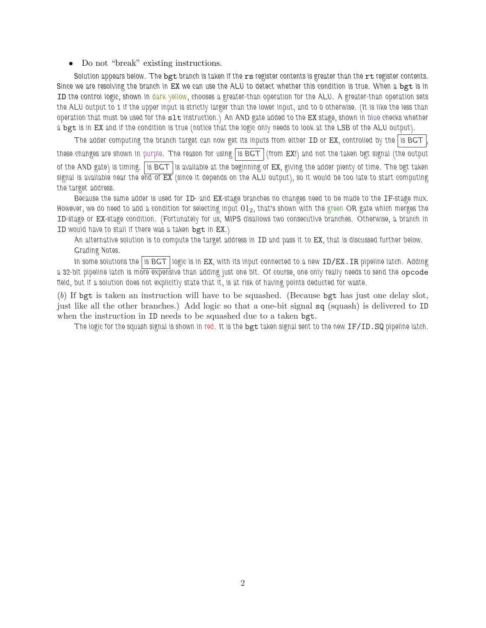• Do not "break" existing instructions.

*Solution appears below. The* bgt *branch is taken if the* rs *register contents is greater than the* rt *register contents. Since we are resolving the branch in* EX *we can use the ALU to detect whether this condition is true. When a* bgt *is in* ID *the control logic, shown in dark yellow, chooses a greater-than operation for the ALU. A greater-than operation sets the ALU output to 1 if the upper input is strictly larger than the lower input, and to 0 otherwise. (It is like the less than operation that must be used for the* slt *instruction.) An AND gate added to the* EX *stage, shown in blue checks whether a* bgt *is in* EX *and if the condition is true (notice that the logic only needs to look at the LSB of the ALU output).*

*The adder computing the branch target can now get its inputs from either* ID *or* EX*, controlled by the is BGT , these changes are shown in purple. The reason for using is BGT (from* EX*!) and not the taken bgt signal (the output of the AND gate) is timing. is BGT is available at the beginning of* EX*, giving the adder plenty of time. The bgt taken signal is available near the end of* EX *(since it depends on the ALU output), so it would be too late to start computing the target address.*

*Because the same adder is used for* ID*- and* EX*-stage branches no changes need to be made to the* IF*-stage mux. However, we do need to add a condition for selecting input* 012*, that's shown with the green OR gate which merges the* ID*-stage or* EX*-stage condition. (Fortunately for us, MIPS disallows two consecutive branches. Otherwise, a branch in* ID *would have to stall if there was a taken* bgt *in* EX*.)*

*An alternative solution is to compute the target address in* ID *and pass it to* EX*, that is discussed further below. Grading Notes.*

*In some solutions the is BGT logic is in* EX*, with its input connected to a new* ID/EX.IR *pipeline latch. Adding* a 32-bit pipeline latch is more expensive than adding just one bit. Of course, one only really needs to send the opcode *field, but if a solution does not explicitly state that it, is at risk of having points deducted for waste.*

(*b*) If bgt is taken an instruction will have to be squashed. (Because bgt has just one delay slot, just like all the other branches.) Add logic so that a one-bit signal sq (squash) is delivered to ID when the instruction in ID needs to be squashed due to a taken bgt.

*The logic for the squash signal is shown in red. It is the* bgt *taken signal sent to the new* IF/ID.SQ *pipeline latch.*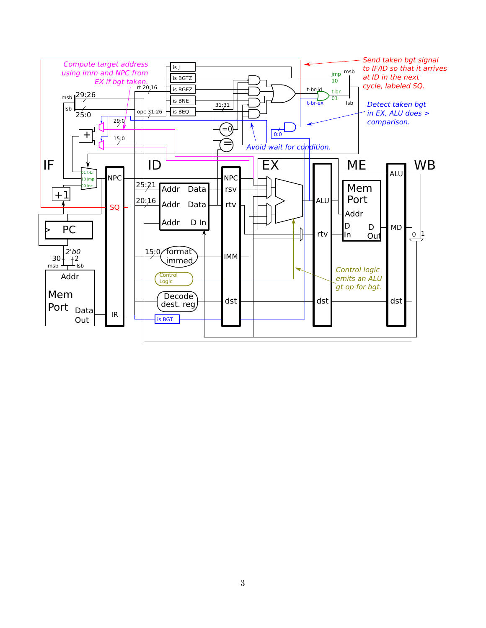